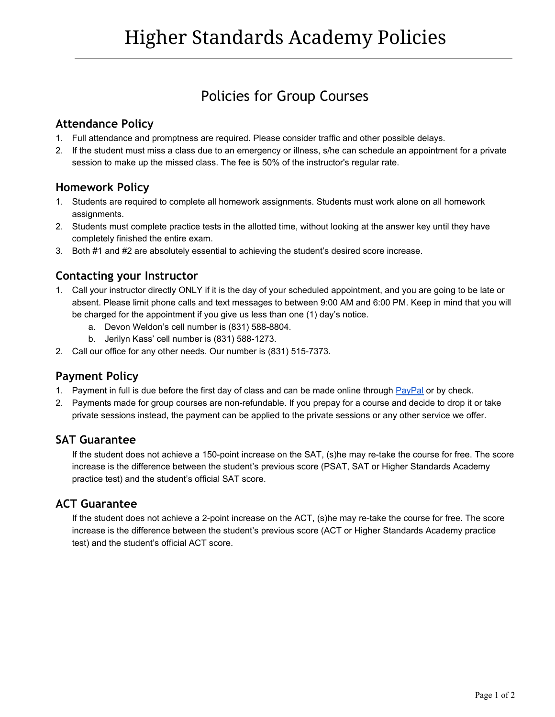# Policies for Group Courses

## **Attendance Policy**

- 1. Full attendance and promptness are required. Please consider traffic and other possible delays.
- 2. If the student must miss a class due to an emergency or illness, s/he can schedule an appointment for a private session to make up the missed class. The fee is 50% of the instructor's regular rate.

## **Homework Policy**

- 1. Students are required to complete all homework assignments. Students must work alone on all homework assignments.
- 2. Students must complete practice tests in the allotted time, without looking at the answer key until they have completely finished the entire exam.
- 3. Both #1 and #2 are absolutely essential to achieving the student's desired score increase.

## **Contacting your Instructor**

- 1. Call your instructor directly ONLY if it is the day of your scheduled appointment, and you are going to be late or absent. Please limit phone calls and text messages to between 9:00 AM and 6:00 PM. Keep in mind that you will be charged for the appointment if you give us less than one (1) day's notice.
	- a. Devon Weldon's cell number is (831) 588-8804.
	- b. Jerilyn Kass' cell number is (831) 588-1273.
- 2. Call our office for any other needs. Our number is (831) 515-7373.

#### **Payment Policy**

- 1. Payment in full is due before the first day of class and can be made online through [PayPal](http://higherstandards.biz/ca/SAT-and-ACT-courses.html) or by check.
- 2. Payments made for group courses are nonrefundable. If you prepay for a course and decide to drop it or take private sessions instead, the payment can be applied to the private sessions or any other service we offer.

#### **SAT Guarantee**

If the student does not achieve a 150-point increase on the SAT, (s)he may re-take the course for free. The score increase is the difference between the student's previous score (PSAT, SAT or Higher Standards Academy practice test) and the student's official SAT score.

#### **ACT Guarantee**

If the student does not achieve a 2-point increase on the ACT, (s)he may re-take the course for free. The score increase is the difference between the student's previous score (ACT or Higher Standards Academy practice test) and the student's official ACT score.